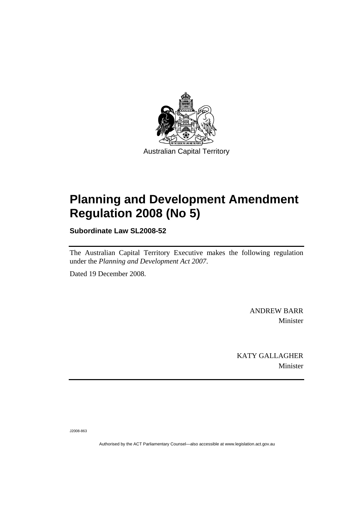

# **[Planning and Development Amendment](#page-2-0)  [Regulation 2008 \(No 5\)](#page-2-0)**

**Subordinate Law SL2008-52** 

The Australian Capital Territory Executive makes the following regulation under the *[Planning and Development Act 2007](#page-2-0)*.

Dated 19 December 2008.

ANDREW BARR Minister

KATY GALLAGHER Minister

J2008-863

Authorised by the ACT Parliamentary Counsel—also accessible at www.legislation.act.gov.au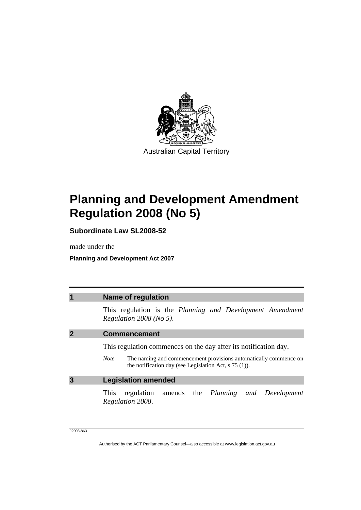<span id="page-2-0"></span>

# **Planning and Development Amendment Regulation 2008 (No 5)**

**Subordinate Law SL2008-52** 

made under the

**Planning and Development Act 2007** 

|   | <b>Name of regulation</b>                                                                                                                  |
|---|--------------------------------------------------------------------------------------------------------------------------------------------|
|   | This regulation is the Planning and Development Amendment<br>Regulation $2008$ (No 5).                                                     |
|   | <b>Commencement</b>                                                                                                                        |
|   | This regulation commences on the day after its notification day.                                                                           |
|   | The naming and commencement provisions automatically commence on<br><b>Note</b><br>the notification day (see Legislation Act, $s$ 75 (1)). |
| 3 | <b>Legislation amended</b>                                                                                                                 |
|   | regulation amends the <i>Planning and Development</i><br>This<br>Regulation 2008.                                                          |
|   |                                                                                                                                            |

J2008-863

Authorised by the ACT Parliamentary Counsel—also accessible at www.legislation.act.gov.au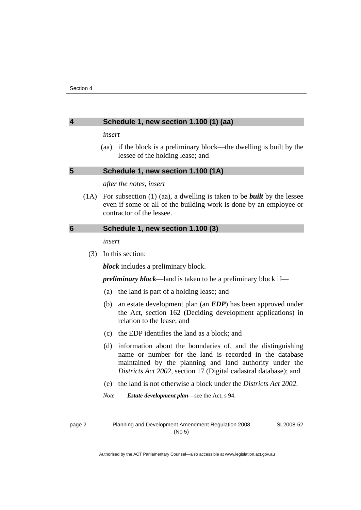## **4 Schedule 1, new section 1.100 (1) (aa)**

*insert* 

 (aa) if the block is a preliminary block—the dwelling is built by the lessee of the holding lease; and

## **5 Schedule 1, new section 1.100 (1A)**

*after the notes, insert* 

 (1A) For subsection (1) (aa), a dwelling is taken to be *built* by the lessee even if some or all of the building work is done by an employee or contractor of the lessee.

### **6 Schedule 1, new section 1.100 (3)**

*insert* 

(3) In this section:

*block* includes a preliminary block.

*preliminary block*—land is taken to be a preliminary block if—

- (a) the land is part of a holding lease; and
- (b) an estate development plan (an *EDP*) has been approved under the Act, section 162 (Deciding development applications) in relation to the lease; and
- (c) the EDP identifies the land as a block; and
- (d) information about the boundaries of, and the distinguishing name or number for the land is recorded in the database maintained by the planning and land authority under the *Districts Act 2002*, section 17 (Digital cadastral database); and
- (e) the land is not otherwise a block under the *Districts Act 2002*.

*Note Estate development plan*—see the Act, s 94.

page 2 Planning and Development Amendment Regulation 2008 (No 5)

SL2008-52